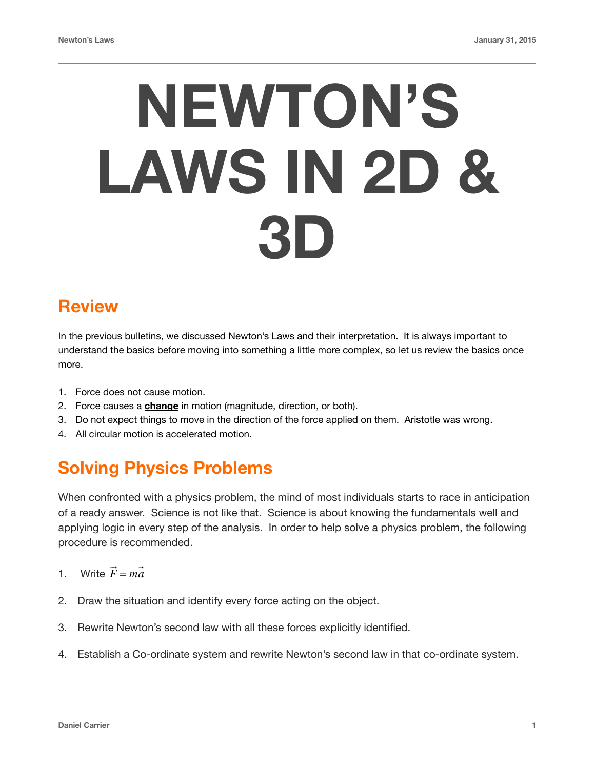# **NEWTON'S LAWS IN 2D & 3D**

## **Review**

In the previous bulletins, we discussed Newton's Laws and their interpretation. It is always important to understand the basics before moving into something a little more complex, so let us review the basics once more.

- 1. Force does not cause motion.
- 2. Force causes a **change** in motion (magnitude, direction, or both).
- 3. Do not expect things to move in the direction of the force applied on them. Aristotle was wrong.
- 4. All circular motion is accelerated motion.

## **Solving Physics Problems**

When confronted with a physics problem, the mind of most individuals starts to race in anticipation of a ready answer. Science is not like that. Science is about knowing the fundamentals well and applying logic in every step of the analysis. In order to help solve a physics problem, the following procedure is recommended.

- 1. Write *F* !<br>!! = *ma*  $\rightarrow$
- 2. Draw the situation and identify every force acting on the object.
- 3. Rewrite Newton's second law with all these forces explicitly identified.
- 4. Establish a Co-ordinate system and rewrite Newton's second law in that co-ordinate system.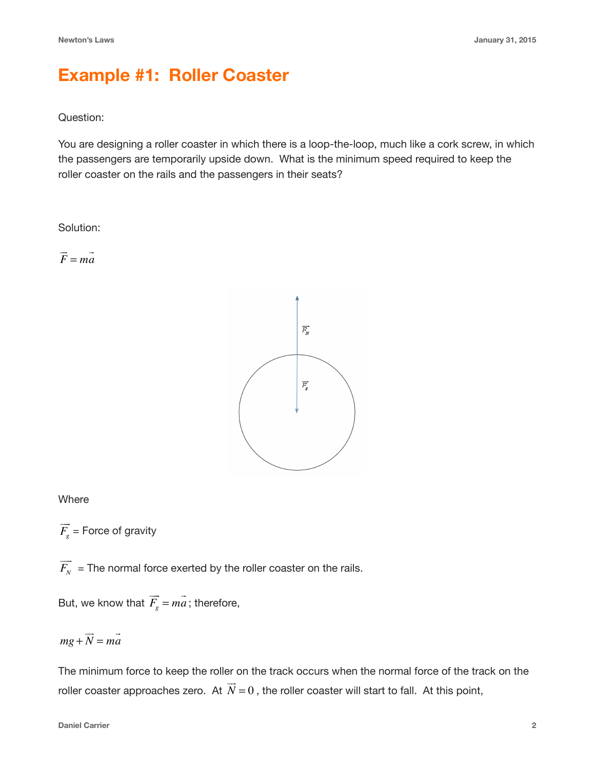### **Example #1: Roller Coaster**

#### Question:

You are designing a roller coaster in which there is a loop-the-loop, much like a cork screw, in which the passengers are temporarily upside down. What is the minimum speed required to keep the roller coaster on the rails and the passengers in their seats?

Solution:

*F* !<br>!! = *ma*  $\rightarrow$ 



#### **Where**

 $F_{g}^{\phantom{\dag}}$  = Force of gravity  $\Rightarrow$ 

 $F_{\scriptscriptstyle N}^{}$  = The normal force exerted by the roller coaster on the rails.  $\Rightarrow$ 

But, we know that  $F_g = ma$ ; therefore,  $\Rightarrow$ = *ma*  $\rightarrow$ 

$$
mg + \overrightarrow{N} = m\overrightarrow{a}
$$

The minimum force to keep the roller on the track occurs when the normal force of the track on the roller coaster approaches zero. At  $N=0$  , the roller coaster will start to fall. At this point, !!!  $= 0$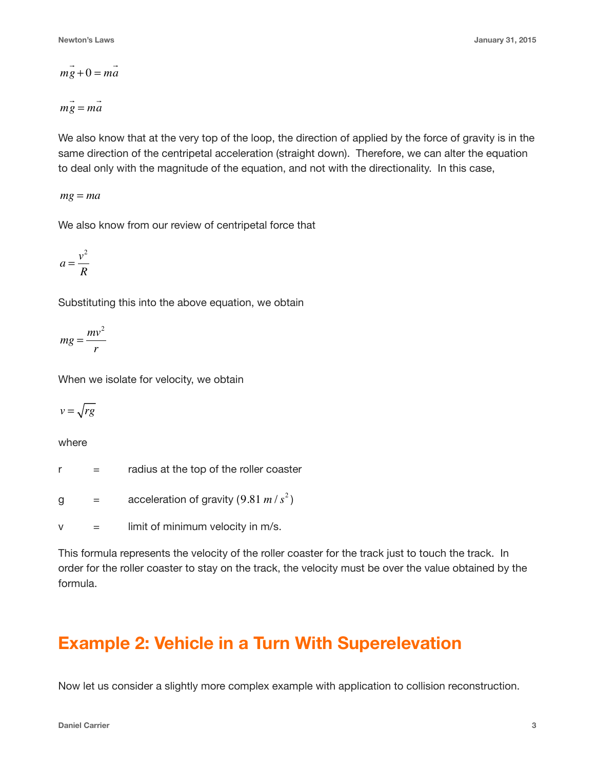$$
m\vec{g} + 0 = m\vec{a}
$$

$$
m\ddot{g} = m\dot{a}
$$

We also know that at the very top of the loop, the direction of applied by the force of gravity is in the same direction of the centripetal acceleration (straight down). Therefore, we can alter the equation to deal only with the magnitude of the equation, and not with the directionality. In this case,

 $mg = ma$ 

We also know from our review of centripetal force that

$$
a = \frac{v^2}{R}
$$

Substituting this into the above equation, we obtain

$$
mg = \frac{mv^2}{r}
$$

When we isolate for velocity, we obtain

$$
v=\sqrt{rg}
$$

where

 $r =$  radius at the top of the roller coaster

g  $=$  acceleration of gravity  $(9.81 \, m/s^2)$ 

 $v =$  limit of minimum velocity in m/s.

This formula represents the velocity of the roller coaster for the track just to touch the track. In order for the roller coaster to stay on the track, the velocity must be over the value obtained by the formula.

## **Example 2: Vehicle in a Turn With Superelevation**

Now let us consider a slightly more complex example with application to collision reconstruction.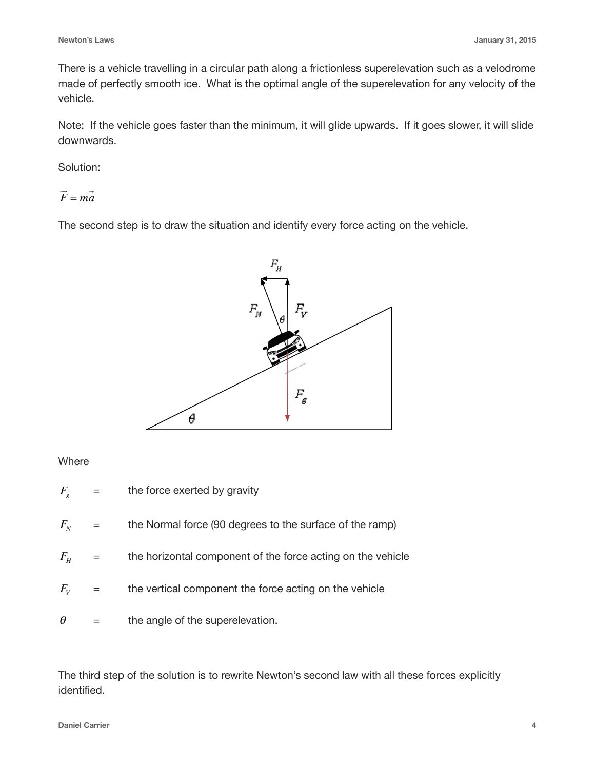There is a vehicle travelling in a circular path along a frictionless superelevation such as a velodrome made of perfectly smooth ice. What is the optimal angle of the superelevation for any velocity of the vehicle.

Note: If the vehicle goes faster than the minimum, it will glide upwards. If it goes slower, it will slide downwards.

Solution:

*F* !<br>!! = *ma*  $\rightarrow$ 

The second step is to draw the situation and identify every force acting on the vehicle.



#### **Where**

- = the force exerted by gravity = the Normal force (90 degrees to the surface of the ramp) = the horizontal component of the force acting on the vehicle  $F_{\scriptscriptstyle g}$  $F_{N}$  $F_{H}$
- = the vertical component the force acting on the vehicle  $F_{V}$
- = the angle of the superelevation. θ

The third step of the solution is to rewrite Newton's second law with all these forces explicitly identified.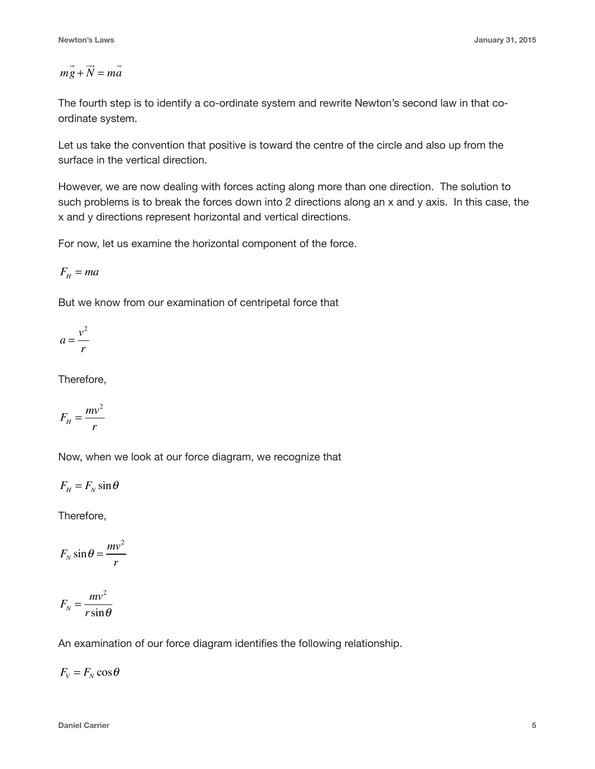$$
m\vec{g} + \vec{N} = m\vec{a}
$$

The fourth step is to identify a co-ordinate system and rewrite Newton's second law in that coordinate system.

Let us take the convention that positive is toward the centre of the circle and also up from the surface in the vertical direction.

However, we are now dealing with forces acting along more than one direction. The solution to such problems is to break the forces down into 2 directions along an x and y axis. In this case, the x and y directions represent horizontal and vertical directions.

For now, let us examine the horizontal component of the force.

$$
F_{\scriptscriptstyle H}=m a
$$

But we know from our examination of centripetal force that

$$
a = \frac{v^2}{r}
$$

Therefore,

$$
F_H = \frac{mv^2}{r}
$$

Now, when we look at our force diagram, we recognize that

 $F_H = F_N \sin \theta$ 

Therefore,

$$
F_N \sin \theta = \frac{mv^2}{r}
$$

$$
F_N = \frac{mv^2}{r\sin\theta}
$$

An examination of our force diagram identifies the following relationship.

 $F_V = F_N \cos \theta$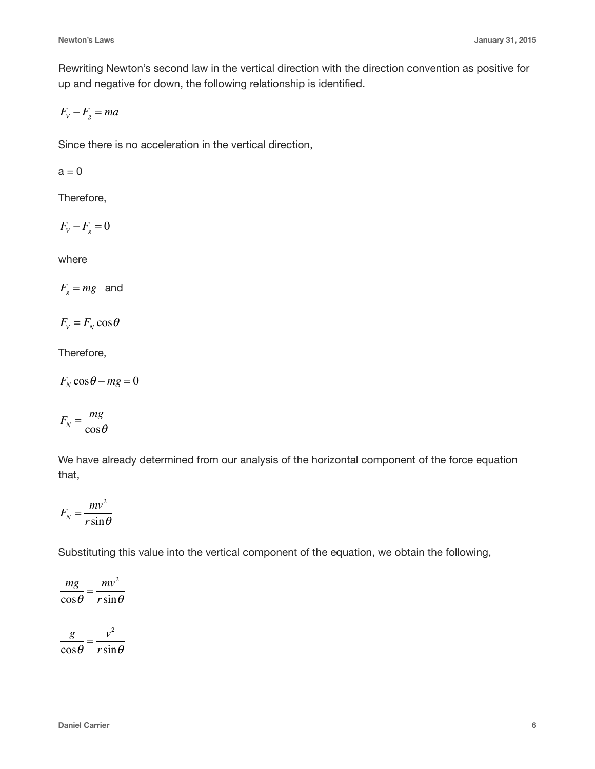Rewriting Newton's second law in the vertical direction with the direction convention as positive for up and negative for down, the following relationship is identified.

$$
F_v - F_s = ma
$$

Since there is no acceleration in the vertical direction,

 $a = 0$ 

Therefore,

$$
F_v - F_g = 0
$$

where

 $F_{g} = mg$  and

$$
F_{V} = F_{N} \cos \theta
$$

Therefore,

 $F_N \cos \theta - mg = 0$ 

$$
F_N = \frac{mg}{\cos\theta}
$$

We have already determined from our analysis of the horizontal component of the force equation that,

$$
F_N = \frac{mv^2}{r\sin\theta}
$$

Substituting this value into the vertical component of the equation, we obtain the following,

$$
\frac{mg}{\cos\theta} = \frac{mv^2}{r\sin\theta}
$$

*g*  $\cos\theta$  $=\frac{v^2}{u}$  $r \sin \theta$